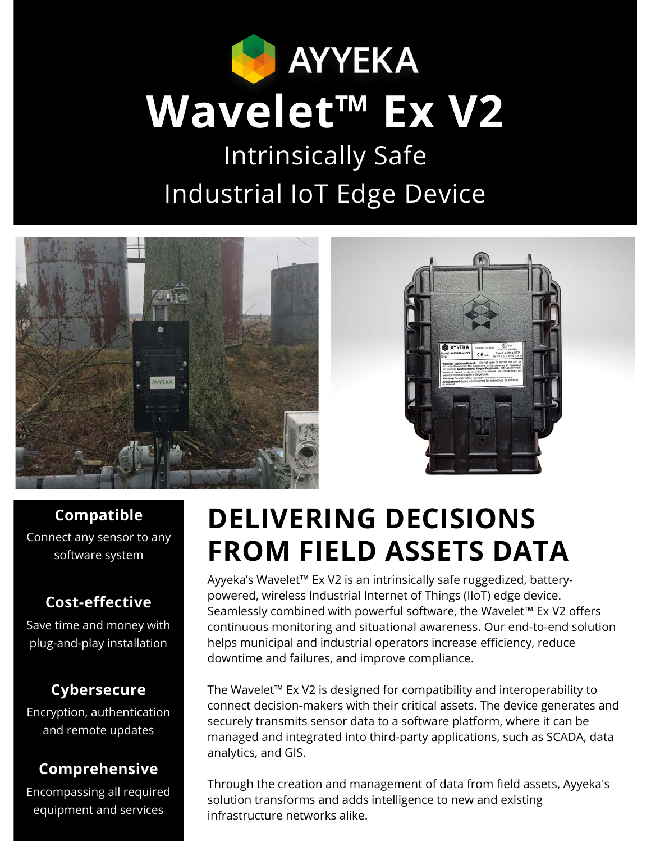

Intrinsically Safe Industrial IoT Edge Device





#### **Compatible**

Connect any sensor to any software system

#### **Cost-effective**

Save time and money with plug-and-play installation

#### **Cybersecure**

Encryption, authentication and remote updates

#### **Comprehensive**

Encompassing all required equipment and services

# **DELIVERING DECISIONS FROM FIELD ASSETS DATA**

Ayyeka's Wavelet™ Ex V2 is an intrinsically safe ruggedized, batterypowered, wireless Industrial Internet of Things (IIoT) edge device. Seamlessly combined with powerful software, the Wavelet™ Ex V2 offers continuous monitoring and situational awareness. Our end-to-end solution helps municipal and industrial operators increase efficiency, reduce downtime and failures, and improve compliance.

The Wavelet™ Ex V2 is designed for compatibility and interoperability to connect decision-makers with their critical assets. The device generates and securely transmits sensor data to a software platform, where it can be managed and integrated into third-party applications, such as SCADA, data analytics, and GIS.

Through the creation and management of data from field assets, Ayyeka's solution transforms and adds intelligence to new and existing infrastructure networks alike.